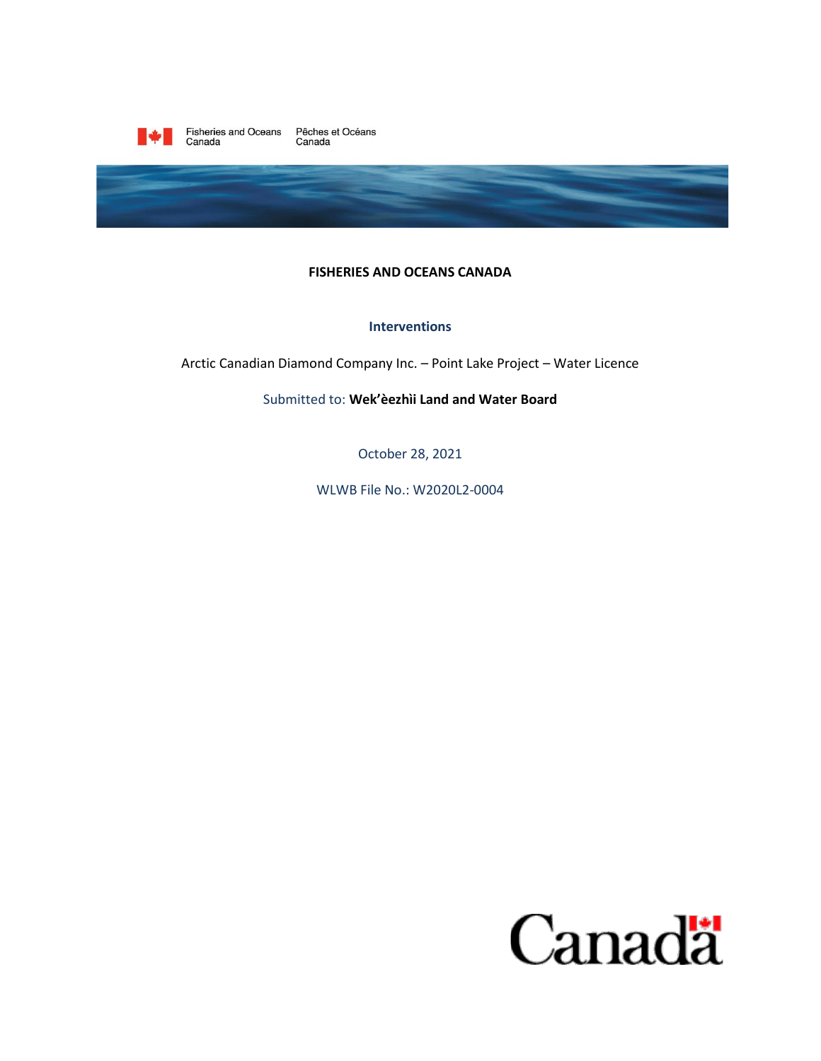

Fisheries and Oceans Pêches et Océans<br>Canada Canada



## **FISHERIES AND OCEANS CANADA**

### **Interventions**

Arctic Canadian Diamond Company Inc. - Point Lake Project - Water Licence

Submitted to: Wek'eezhii Land and Water Board

October 28, 2021

WLWB File No.: W2020L2-0004

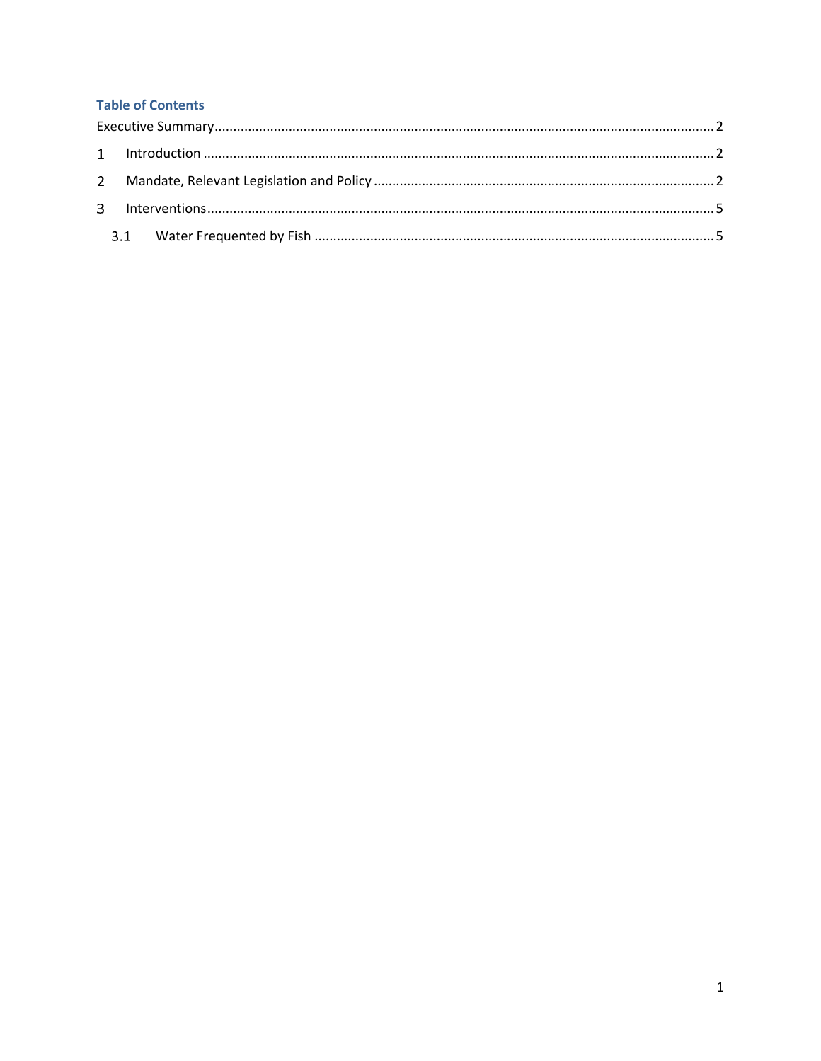# **Table of Contents**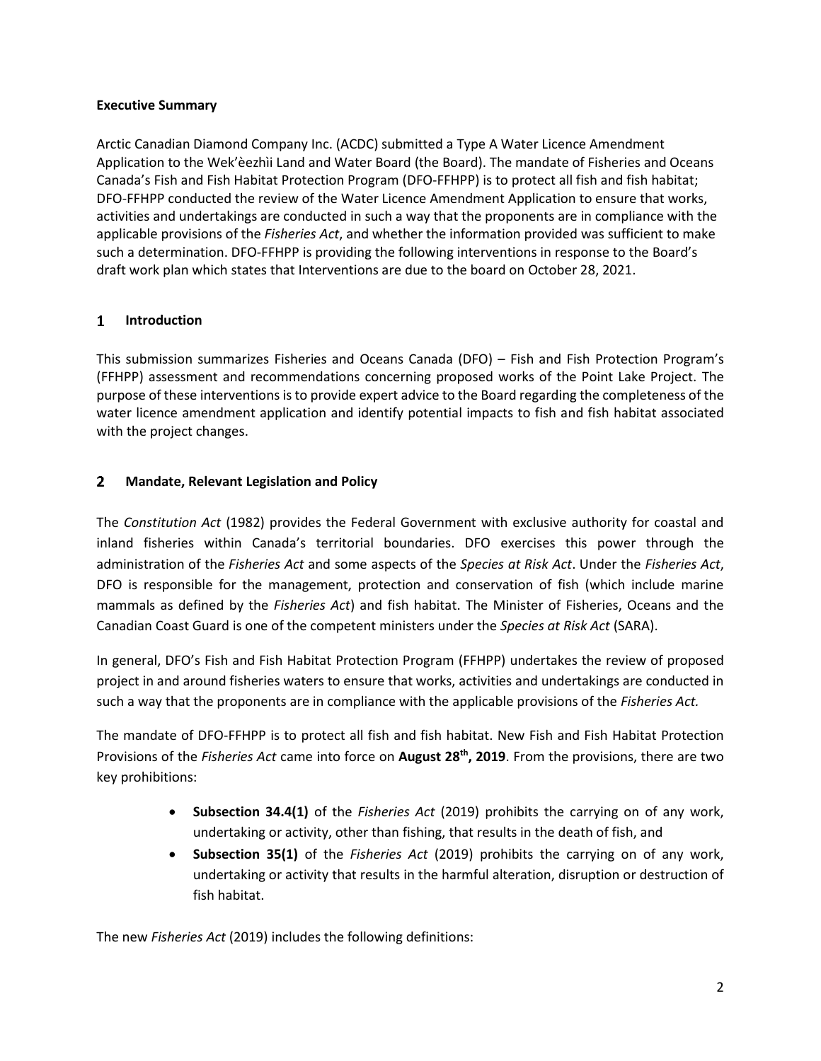# <span id="page-2-0"></span>**Executive Summary**

Arctic Canadian Diamond Company Inc. (ACDC) submitted a Type A Water Licence Amendment Application to the Wek'èezhìi Land and Water Board (the Board). The mandate of Fisheries and Oceans Canada's Fish and Fish Habitat Protection Program (DFO-FFHPP) is to protect all fish and fish habitat; DFO-FFHPP conducted the review of the Water Licence Amendment Application to ensure that works, activities and undertakings are conducted in such a way that the proponents are in compliance with the applicable provisions of the *Fisheries Act*, and whether the information provided was sufficient to make such a determination. DFO-FFHPP is providing the following interventions in response to the Board's draft work plan which states that Interventions are due to the board on October 28, 2021.

#### <span id="page-2-1"></span> $\mathbf{1}$ **Introduction**

This submission summarizes Fisheries and Oceans Canada (DFO) – Fish and Fish Protection Program's (FFHPP) assessment and recommendations concerning proposed works of the Point Lake Project. The purpose of these interventions is to provide expert advice to the Board regarding the completeness of the water licence amendment application and identify potential impacts to fish and fish habitat associated with the project changes.

#### <span id="page-2-2"></span> $2<sup>1</sup>$ **Mandate, Relevant Legislation and Policy**

The *Constitution Act* (1982) provides the Federal Government with exclusive authority for coastal and inland fisheries within Canada's territorial boundaries. DFO exercises this power through the administration of the *Fisheries Act* and some aspects of the *Species at Risk Act*. Under the *Fisheries Act*, DFO is responsible for the management, protection and conservation of fish (which include marine mammals as defined by the *Fisheries Act*) and fish habitat. The Minister of Fisheries, Oceans and the Canadian Coast Guard is one of the competent ministers under the *Species at Risk Act* (SARA).

In general, DFO's Fish and Fish Habitat Protection Program (FFHPP) undertakes the review of proposed project in and around fisheries waters to ensure that works, activities and undertakings are conducted in such a way that the proponents are in compliance with the applicable provisions of the *Fisheries Act.* 

The mandate of DFO-FFHPP is to protect all fish and fish habitat. New Fish and Fish Habitat Protection Provisions of the *Fisheries Act* came into force on **August 28th, 2019**. From the provisions, there are two key prohibitions:

- **Subsection 34.4(1)** of the *Fisheries Act* (2019) prohibits the carrying on of any work, undertaking or activity, other than fishing, that results in the death of fish, and
- **Subsection 35(1)** of the *Fisheries Act* (2019) prohibits the carrying on of any work, undertaking or activity that results in the harmful alteration, disruption or destruction of fish habitat.

The new *Fisheries Act* (2019) includes the following definitions: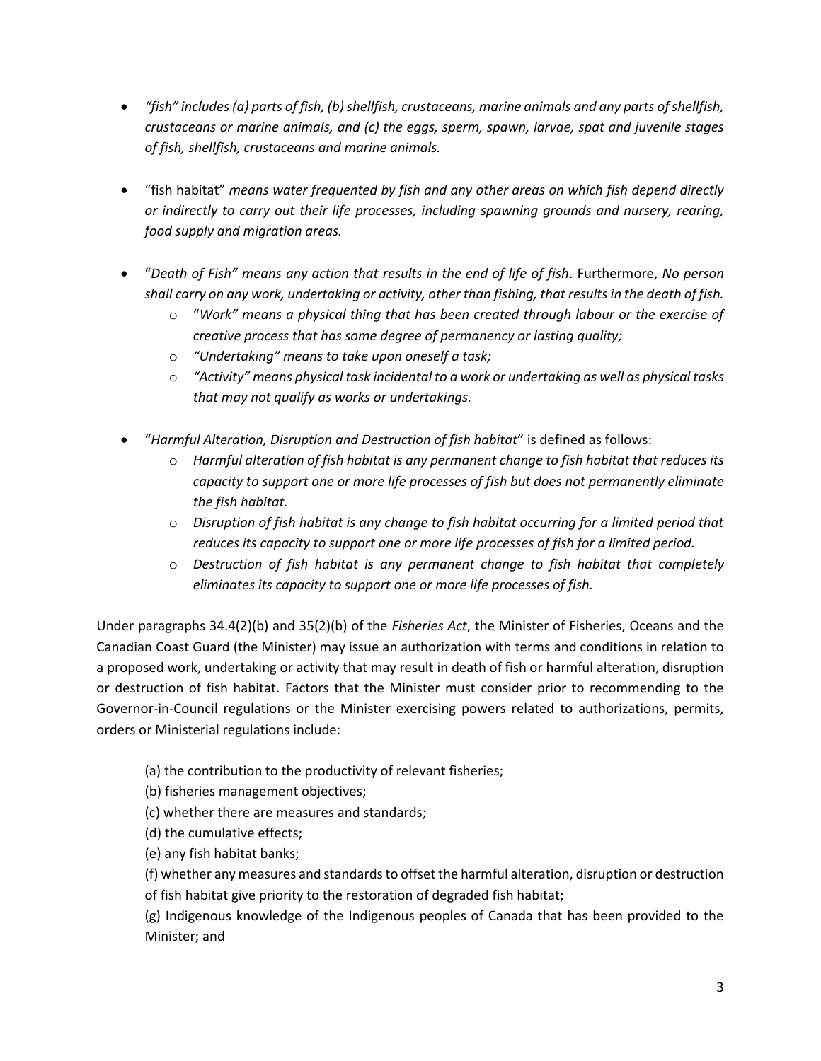- *"fish" includes (a) parts of fish, (b) shellfish, crustaceans, marine animals and any parts of shellfish, crustaceans or marine animals, and (c) the eggs, sperm, spawn, larvae, spat and juvenile stages of fish, shellfish, crustaceans and marine animals.*
- "fish habitat" *means water frequented by fish and any other areas on which fish depend directly or indirectly to carry out their life processes, including spawning grounds and nursery, rearing, food supply and migration areas.*
- "*Death of Fish" means any action that results in the end of life of fish*. Furthermore, *No person shall carry on any work, undertaking or activity, other than fishing, that results in the death of fish.*
	- o "*Work" means a physical thing that has been created through labour or the exercise of creative process that has some degree of permanency or lasting quality;*
	- o *"Undertaking" means to take upon oneself a task;*
	- o *"Activity" means physical task incidental to a work or undertaking as well as physical tasks that may not qualify as works or undertakings.*
- "*Harmful Alteration, Disruption and Destruction of fish habitat*" is defined as follows:
	- o *Harmful alteration of fish habitat is any permanent change to fish habitat that reduces its capacity to support one or more life processes of fish but does not permanently eliminate the fish habitat.*
	- o *Disruption of fish habitat is any change to fish habitat occurring for a limited period that reduces its capacity to support one or more life processes of fish for a limited period.*
	- o *Destruction of fish habitat is any permanent change to fish habitat that completely eliminates its capacity to support one or more life processes of fish.*

Under paragraphs 34.4(2)(b) and 35(2)(b) of the *Fisheries Act*, the Minister of Fisheries, Oceans and the Canadian Coast Guard (the Minister) may issue an authorization with terms and conditions in relation to a proposed work, undertaking or activity that may result in death of fish or harmful alteration, disruption or destruction of fish habitat. Factors that the Minister must consider prior to recommending to the Governor-in-Council regulations or the Minister exercising powers related to authorizations, permits, orders or Ministerial regulations include:

- (a) the contribution to the productivity of relevant fisheries;
- (b) fisheries management objectives;
- (c) whether there are measures and standards;
- (d) the cumulative effects;
- (e) any fish habitat banks;

(f) whether any measures and standards to offset the harmful alteration, disruption or destruction of fish habitat give priority to the restoration of degraded fish habitat;

(g) Indigenous knowledge of the Indigenous peoples of Canada that has been provided to the Minister; and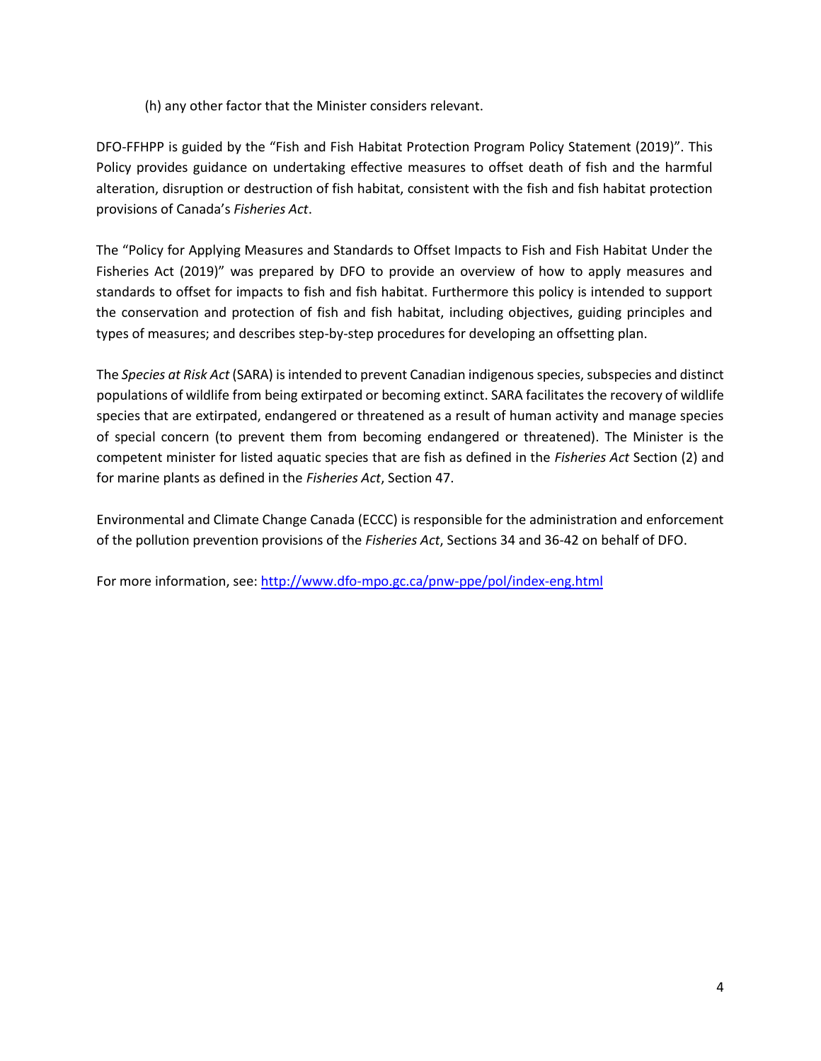(h) any other factor that the Minister considers relevant.

DFO-FFHPP is guided by the "Fish and Fish Habitat Protection Program Policy Statement (2019)". This Policy provides guidance on undertaking effective measures to offset death of fish and the harmful alteration, disruption or destruction of fish habitat, consistent with the fish and fish habitat protection provisions of Canada's *Fisheries Act*.

The "Policy for Applying Measures and Standards to Offset Impacts to Fish and Fish Habitat Under the Fisheries Act (2019)" was prepared by DFO to provide an overview of how to apply measures and standards to offset for impacts to fish and fish habitat. Furthermore this policy is intended to support the conservation and protection of fish and fish habitat, including objectives, guiding principles and types of measures; and describes step-by-step procedures for developing an offsetting plan.

The *Species at Risk Act* (SARA) is intended to prevent Canadian indigenous species, subspecies and distinct populations of wildlife from being extirpated or becoming extinct. SARA facilitates the recovery of wildlife species that are extirpated, endangered or threatened as a result of human activity and manage species of special concern (to prevent them from becoming endangered or threatened). The Minister is the competent minister for listed aquatic species that are fish as defined in the *Fisheries Act* Section (2) and for marine plants as defined in the *Fisheries Act*, Section 47.

Environmental and Climate Change Canada (ECCC) is responsible for the administration and enforcement of the pollution prevention provisions of the *Fisheries Act*, Sections 34 and 36-42 on behalf of DFO.

For more information, see[: http://www.dfo-mpo.gc.ca/pnw-ppe/pol/index-eng.html](http://www.dfo-mpo.gc.ca/pnw-ppe/pol/index-eng.html)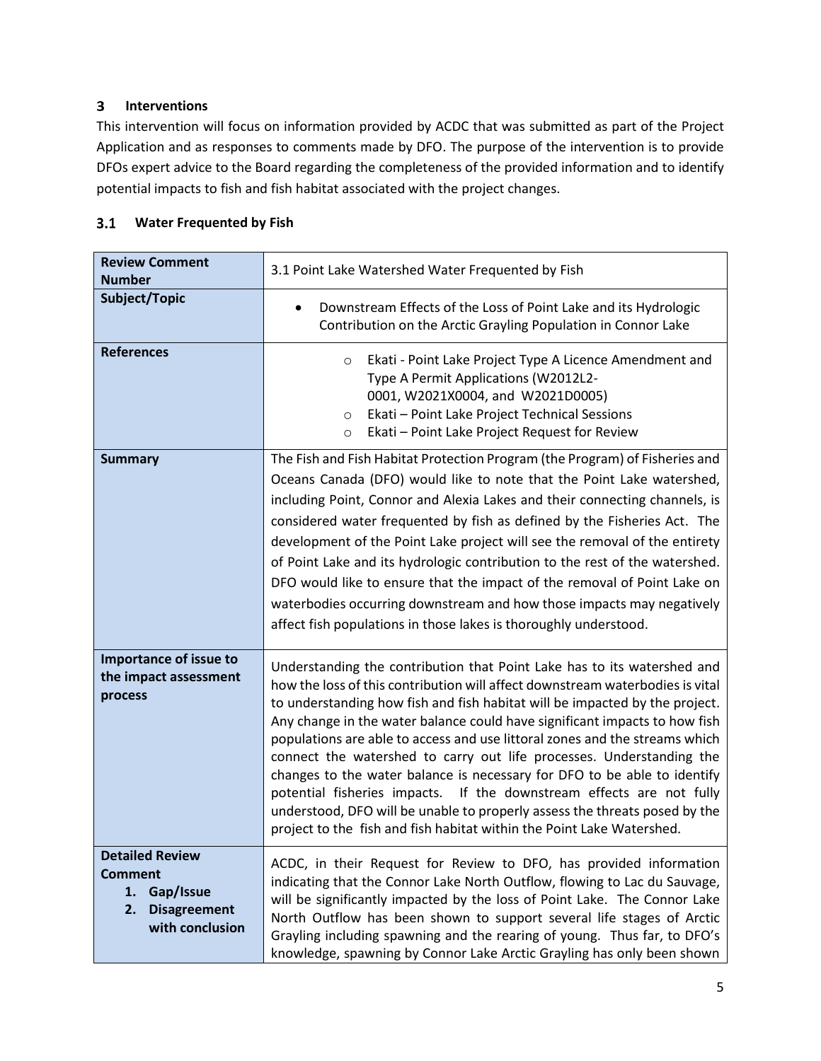#### <span id="page-5-0"></span> $3<sup>1</sup>$ **Interventions**

This intervention will focus on information provided by ACDC that was submitted as part of the Project Application and as responses to comments made by DFO. The purpose of the intervention is to provide DFOs expert advice to the Board regarding the completeness of the provided information and to identify potential impacts to fish and fish habitat associated with the project changes.

#### <span id="page-5-1"></span> $3.1$ **Water Frequented by Fish**

| <b>Review Comment</b><br><b>Number</b>                                                                      | 3.1 Point Lake Watershed Water Frequented by Fish                                                                                                                                                                                                                                                                                                                                                                                                                                                                                                                                                                                                                                                                                                                                       |
|-------------------------------------------------------------------------------------------------------------|-----------------------------------------------------------------------------------------------------------------------------------------------------------------------------------------------------------------------------------------------------------------------------------------------------------------------------------------------------------------------------------------------------------------------------------------------------------------------------------------------------------------------------------------------------------------------------------------------------------------------------------------------------------------------------------------------------------------------------------------------------------------------------------------|
| Subject/Topic                                                                                               | Downstream Effects of the Loss of Point Lake and its Hydrologic<br>$\bullet$<br>Contribution on the Arctic Grayling Population in Connor Lake                                                                                                                                                                                                                                                                                                                                                                                                                                                                                                                                                                                                                                           |
| <b>References</b>                                                                                           | Ekati - Point Lake Project Type A Licence Amendment and<br>$\circ$<br>Type A Permit Applications (W2012L2-<br>0001, W2021X0004, and W2021D0005)<br>Ekati - Point Lake Project Technical Sessions<br>$\circ$<br>Ekati - Point Lake Project Request for Review<br>$\circ$                                                                                                                                                                                                                                                                                                                                                                                                                                                                                                                 |
| <b>Summary</b>                                                                                              | The Fish and Fish Habitat Protection Program (the Program) of Fisheries and<br>Oceans Canada (DFO) would like to note that the Point Lake watershed,<br>including Point, Connor and Alexia Lakes and their connecting channels, is<br>considered water frequented by fish as defined by the Fisheries Act. The<br>development of the Point Lake project will see the removal of the entirety<br>of Point Lake and its hydrologic contribution to the rest of the watershed.<br>DFO would like to ensure that the impact of the removal of Point Lake on<br>waterbodies occurring downstream and how those impacts may negatively<br>affect fish populations in those lakes is thoroughly understood.                                                                                    |
| Importance of issue to<br>the impact assessment<br>process                                                  | Understanding the contribution that Point Lake has to its watershed and<br>how the loss of this contribution will affect downstream waterbodies is vital<br>to understanding how fish and fish habitat will be impacted by the project.<br>Any change in the water balance could have significant impacts to how fish<br>populations are able to access and use littoral zones and the streams which<br>connect the watershed to carry out life processes. Understanding the<br>changes to the water balance is necessary for DFO to be able to identify<br>potential fisheries impacts. If the downstream effects are not fully<br>understood, DFO will be unable to properly assess the threats posed by the<br>project to the fish and fish habitat within the Point Lake Watershed. |
| <b>Detailed Review</b><br><b>Comment</b><br>Gap/Issue<br>1.<br><b>Disagreement</b><br>2.<br>with conclusion | ACDC, in their Request for Review to DFO, has provided information<br>indicating that the Connor Lake North Outflow, flowing to Lac du Sauvage,<br>will be significantly impacted by the loss of Point Lake. The Connor Lake<br>North Outflow has been shown to support several life stages of Arctic<br>Grayling including spawning and the rearing of young. Thus far, to DFO's<br>knowledge, spawning by Connor Lake Arctic Grayling has only been shown                                                                                                                                                                                                                                                                                                                             |